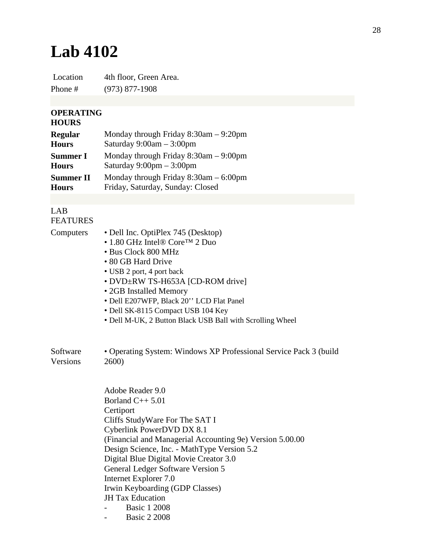## **Lab 4102**

Location 4th floor, Green Area. Phone # (973) 877-1908

## **OPERATING**

## **HOURS**

| <b>Regular</b>   | Monday through Friday $8:30$ am $-9:20$ pm |
|------------------|--------------------------------------------|
| <b>Hours</b>     | Saturday $9:00am - 3:00pm$                 |
| <b>Summer I</b>  | Monday through Friday $8:30$ am $-9:00$ pm |
| <b>Hours</b>     | Saturday $9:00 \text{pm} - 3:00 \text{pm}$ |
| <b>Summer II</b> | Monday through Friday $8:30$ am $-6:00$ pm |
| <b>Hours</b>     | Friday, Saturday, Sunday: Closed           |

## LAB FEATURES

- Computers Dell Inc. OptiPlex 745 (Desktop)
	- 1.80 GHz Intel® Core™ 2 Duo
	- Bus Clock 800 MHz
	- 80 GB Hard Drive
	- USB 2 port, 4 port back
	- DVD±RW TS-H653A [CD-ROM drive]
	- 2GB Installed Memory
	- Dell E207WFP, Black 20'' LCD Flat Panel
	- Dell SK-8115 Compact USB 104 Key
	- Dell M-UK, 2 Button Black USB Ball with Scrolling Wheel

| Software | • Operating System: Windows XP Professional Service Pack 3 (build |
|----------|-------------------------------------------------------------------|
| Versions | 2600)                                                             |

Adobe Reader 9.0 Borland  $C_{++}$  5.01 **Certiport** Cliffs StudyWare For The SAT I Cyberlink PowerDVD DX 8.1 (Financial and Managerial Accounting 9e) Version 5.00.00 Design Science, Inc. - MathType Version 5.2 Digital Blue Digital Movie Creator 3.0 General Ledger Software Version 5 Internet Explorer 7.0 Irwin Keyboarding (GDP Classes) JH Tax Education Basic 1 2008

- Basic 2 2008